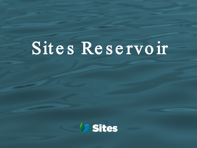# Sites Reservoir

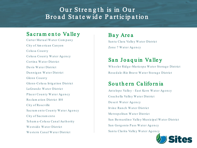### Our Strength is in Our Bro ad State wide Participation

#### Sa cramento Valley

Carter Mutual Water Company City of Am e rican Canyon Colusa County Colusa County Water Agency Cortina Water District Davis Water District Dunnigan Water District Glenn County Glenn-Colusa Irrigation District La Grande Water District Placer County Water Agency Reclam ation District 108 City of Rose ville Sa cram ento County Water Agency City of Sacram ento Teham a-Colusa Canal Authority Westside Water District Western Canal Water District

Bay Area Santa Clara Valley Water District Zone 7 Water Agency

#### San Joaquin Valley

Wheeler Ridge-Maricopa Water Storage District Rosedale-Rio Bravo Water Storage District

#### Southern California

An te lope Valley – East Kern Water Agency Co a ch e lla Va lle y W a te r District De sert Water Agency Irvin e Ra n ch W a te r District Metropolitan Water District San Bernard in o Valley Municipal Water District San Gorgonio Pass Water Agency Santa Clarita Valley Water Agency

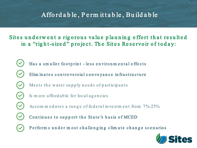# Affo rd a b le , P e rm it t a b le , Bu ild a b le

#### Sites underwent a rigorous value planning effort that resulted in a "right-sized" project. The Sites Reservoir of today:

- Has a sm aller footprint less environmental effects
- Elim in a tes controversial conveyance in frastructure
- Meets the water supply needs of participants
- Is m ore afford able for local agencies
- Accom m od a tes a range of fed eral investment from 7%-25%
- Continues to support the State's basis of MCED
- Perform s under most challenging climate change scenarios

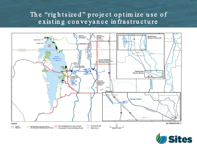## The "rightsized" project optimize use of existing conveyance infrastructure



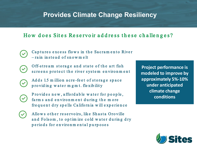## **Provides Climate Change Resiliency**

#### How does Sites Reservoir address these challenges?

- Captures excess flows in the Sacramento River  $-$  rain in stead of snow melt
- Off-stream storage and state of the art fish  $\sim$ screens protect the river system environment
	- Adds 1.5 m illion acre-feet of storage space p ro viding water m g m t. fle xibility
- 
- Provides new, affordable water for people, farm s and environment during the more frequent dry spells California will experience
- 
- Allows other reservoirs, like Shasta Oroville and Folsom, to op tim ize cold water during dry periods for environmental purposes

**Project performance is modeled to improve by approximately 5%-10% under anticipated climate change conditions**

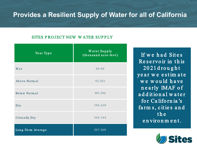# **Provides a Resilient Supply of Water for all of California**

#### SITES PROJECT NEW WATER SUPPLY

| Year Type             | Water Supply<br>(thousand acre-feet) |
|-----------------------|--------------------------------------|
| Wet                   | $80 - 90$                            |
| Above Normal          | 92-292                               |
| Below Normal          | $190 - 296$                          |
| Dry                   | 398-429                              |
| <b>Critically Dry</b> | $308 - 348$                          |
| Long-Term Average     | 207-260                              |

If we had Sites Reservo ir in this 20 21 d ro u g h t year we estimate we would have n e a rly 1MAF o f a d d it ion al w at er for California's farm s, cities and the en viron m ent.

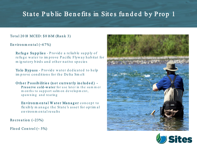# State Public Benefits in Sites funded by Prop 1

#### Total 2018 MCED: \$816M (Rank 3)

En viron m e n t a  $1$  (~67%)

Re fuge Supplies - Provide a reliable supply of re fuge water to improve Pacific Flyway habitat for m ig ratory birds and other native species

Yo lo Bypass - Provide water dedicated to help im prove conditions for the Delta Sm elt

Other Possibilities (not currently included) -Preserve cold-water for use later in the summer m on ths to support salm on development, spawning and rearing

En vironmental Water Manager concept to fle xib ly m an age the State's asset for op tim al en viron m en tal results

Recreation  $(-23%)$ 

Flood Control  $(~5%)$ 



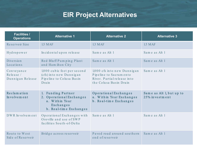# **EIR Project Alternatives**

| <b>Facilities /</b><br><b>Operations</b>   | <b>Alternative 1</b>                                                                                    | <b>Alternative 2</b>                                                                                           | <b>Alternative 3</b>                       |
|--------------------------------------------|---------------------------------------------------------------------------------------------------------|----------------------------------------------------------------------------------------------------------------|--------------------------------------------|
| Reservoir Size                             | 1.5 MAF                                                                                                 | 1.3 MAF                                                                                                        | 1.5 MAF                                    |
| Hydropower                                 | Incidental upon release                                                                                 | Same as Alt 1                                                                                                  | Same as Alt 1                              |
| Diversion<br>Locations                     | Red Bluff Pumping Plant<br>and Ham ilton City                                                           | Same as Alt 1                                                                                                  | Same as Alt 1                              |
| Conveyance<br>Release/<br>Dunnigan Release | 1,000 cubic feet per second<br>(cfs) into new Dunnigan<br>Pipeline to Colusa Basin<br>Drain             | 1,000 cfs into new Dunnigan<br>Pipeline to Sacramento<br>River. Partial release into<br>the Colusa Basin Drain | Same as Alt 1                              |
| Reclamation<br>Involvement                 | 1. Funding Partner<br>2. Operational Exchanges<br>a. Within Year<br>Exchanges<br>b. Real-time Exchanges | Operational Exchanges<br>a. Within Year Exchanges<br>b. Real-time Exchanges                                    | Same as Alt 1, but up to<br>25% investment |
| DWR Involvement                            | Operational Exchanges with<br>Oroville and use of SWP<br>facilities South-of-Delta                      | Same as Alt 1                                                                                                  | Same as Alt 1                              |
| Route to West<br>Side of Reservoir         | Bridge across reservoir                                                                                 | Paved road around southern<br>end of reservoir                                                                 | Same as Alt 1                              |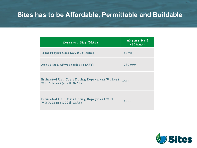# Sites has to be Affordable, Permittable and Buildable

| Reservoir Size (MAF)                                                                     | Alternative 1<br>(1.5MAF) |
|------------------------------------------------------------------------------------------|---------------------------|
| Total Project Cost (2021\$, billions)                                                    | $\sim $3.9B$              |
| Annualized AF/year release (AFY)                                                         | $\sim$ 230,000            |
| Estimated Unit Costs During Repayment Without<br>WIFIA Loans $(2021\$ , $\sqrt[6]{AF}$ ) | ~100                      |
| Estimated Unit Costs During Repayment With<br>WIFIA Loans $(2021\$ , $\sqrt[6]{AF}$ )    | $\sim 5700$               |

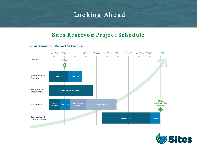# Looking Ahead

#### Sites Reservoir Project Schedule

#### **Sites Reservoir Project Schedule**